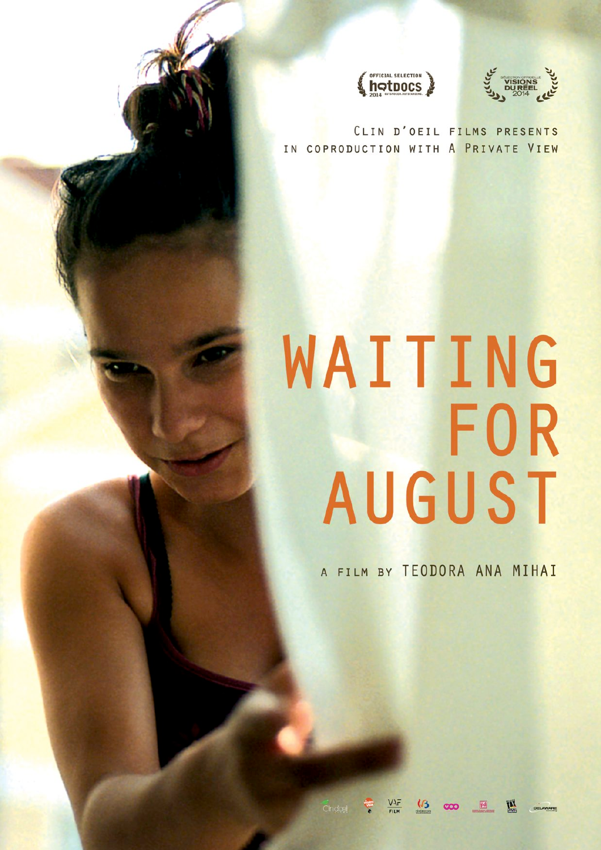



CLIN D'OEIL FILMS PRESENTS IN COPRODUCTION WITH A PRIVATE VIEW

# WAITING **FOR** AUGUST

A FILM BY TEODORA ANA MIHAI

 $\infty$   $\mathbb{H}$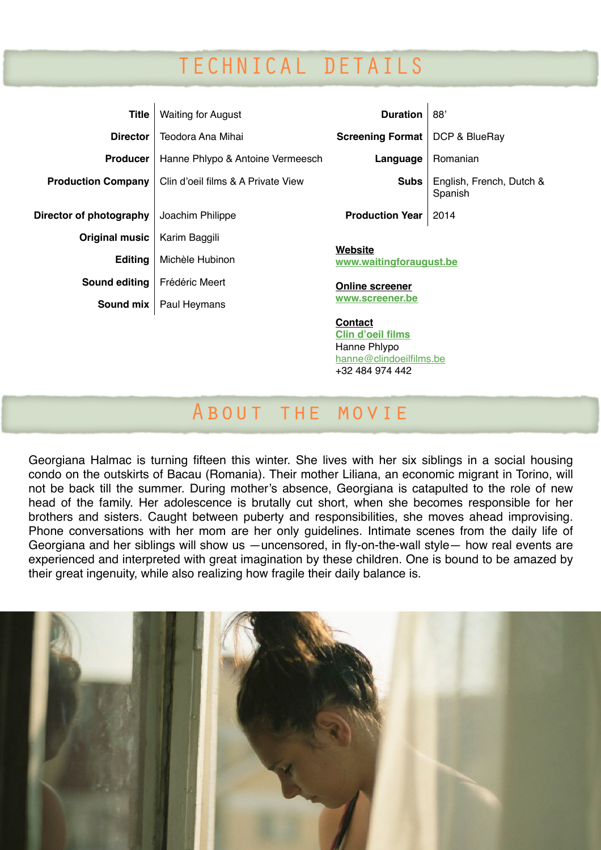# TECHNICAL DETAILS

| <b>Title</b>              | <b>Waiting for August</b>          | <b>Duration</b>                           | 88'                                 |
|---------------------------|------------------------------------|-------------------------------------------|-------------------------------------|
| <b>Director</b>           | Teodora Ana Mihai                  | <b>Screening Format</b>                   | DCP & BlueRay                       |
| <b>Producer</b>           | Hanne Phlypo & Antoine Vermeesch   | Language                                  | Romanian                            |
| <b>Production Company</b> | Clin d'oeil films & A Private View | <b>Subs</b>                               | English, French, Dutch &<br>Spanish |
| Director of photography   | Joachim Philippe                   | <b>Production Year</b>                    | 2014                                |
| Original music            | Karim Baggili                      |                                           |                                     |
| <b>Editing</b>            | Michèle Hubinon                    | <b>Website</b><br>www.waitingforaugust.be |                                     |
| Sound editing             | Frédéric Meert                     | <b>Online screener</b>                    |                                     |
| Sound mix                 | Paul Heymans                       | www.screener.be                           |                                     |
|                           |                                    | <b>Contact</b>                            |                                     |

About the movie

**Clin d'oeil films** Hanne Phlypo

hanne@clindoeilfilms.be +32 484 974 442

Georgiana Halmac is turning fifteen this winter. She lives with her six siblings in a social housing condo on the outskirts of Bacau (Romania). Their mother Liliana, an economic migrant in Torino, will not be back till the summer. During mother's absence, Georgiana is catapulted to the role of new head of the family. Her adolescence is brutally cut short, when she becomes responsible for her brothers and sisters. Caught between puberty and responsibilities, she moves ahead improvising. Phone conversations with her mom are her only guidelines. Intimate scenes from the daily life of Georgiana and her siblings will show us —uncensored, in fly-on-the-wall style— how real events are experienced and interpreted with great imagination by these children. One is bound to be amazed by their great ingenuity, while also realizing how fragile their daily balance is.

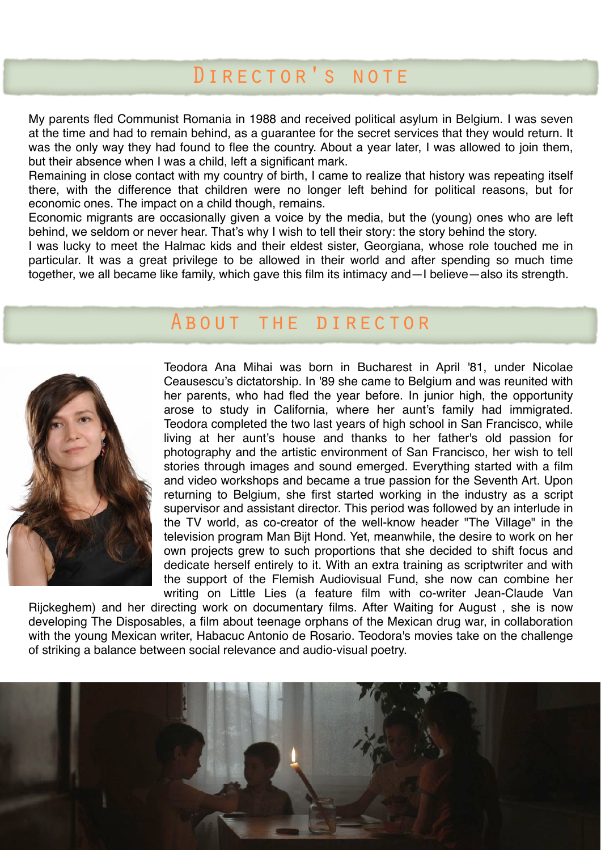### Director's note

My parents fled Communist Romania in 1988 and received political asylum in Belgium. I was seven at the time and had to remain behind, as a guarantee for the secret services that they would return. It was the only way they had found to flee the country. About a year later, I was allowed to join them, but their absence when I was a child, left a significant mark.

Remaining in close contact with my country of birth, I came to realize that history was repeating itself there, with the difference that children were no longer left behind for political reasons, but for economic ones. The impact on a child though, remains.

Economic migrants are occasionally given a voice by the media, but the (young) ones who are left behind, we seldom or never hear. That's why I wish to tell their story: the story behind the story.

I was lucky to meet the Halmac kids and their eldest sister, Georgiana, whose role touched me in particular. It was a great privilege to be allowed in their world and after spending so much time together, we all became like family, which gave this film its intimacy and—I believe—also its strength.

#### About the director



Teodora Ana Mihai was born in Bucharest in April '81, under Nicolae Ceausescu's dictatorship. In '89 she came to Belgium and was reunited with her parents, who had fled the year before. In junior high, the opportunity arose to study in California, where her aunt's family had immigrated. Teodora completed the two last years of high school in San Francisco, while living at her aunt's house and thanks to her father's old passion for photography and the artistic environment of San Francisco, her wish to tell stories through images and sound emerged. Everything started with a film and video workshops and became a true passion for the Seventh Art. Upon returning to Belgium, she first started working in the industry as a script supervisor and assistant director. This period was followed by an interlude in the TV world, as co-creator of the well-know header "The Village" in the television program Man Bijt Hond. Yet, meanwhile, the desire to work on her own projects grew to such proportions that she decided to shift focus and dedicate herself entirely to it. With an extra training as scriptwriter and with the support of the Flemish Audiovisual Fund, she now can combine her writing on Little Lies (a feature film with co-writer Jean-Claude Van

Rijckeghem) and her directing work on documentary films. After Waiting for August , she is now developing The Disposables, a film about teenage orphans of the Mexican drug war, in collaboration with the young Mexican writer, Habacuc Antonio de Rosario. Teodora's movies take on the challenge of striking a balance between social relevance and audio-visual poetry.